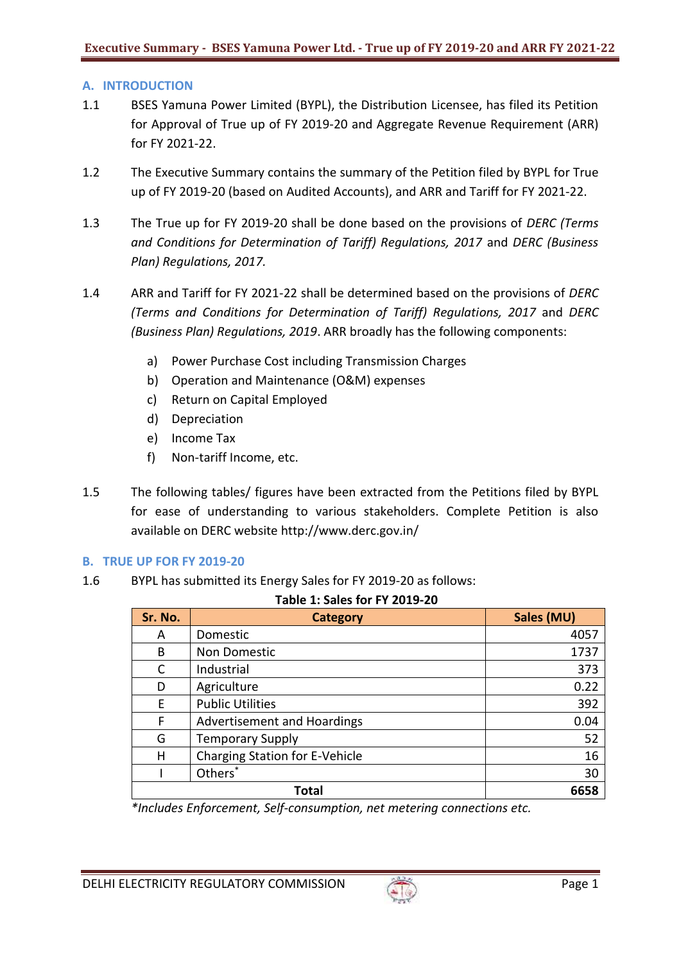### **A. INTRODUCTION**

- 1.1 BSES Yamuna Power Limited (BYPL), the Distribution Licensee, has filed its Petition for Approval of True up of FY 2019-20 and Aggregate Revenue Requirement (ARR) for FY 2021-22.
- 1.2 The Executive Summary contains the summary of the Petition filed by BYPL for True up of FY 2019-20 (based on Audited Accounts), and ARR and Tariff for FY 2021-22.
- 1.3 The True up for FY 2019-20 shall be done based on the provisions of *DERC (Terms and Conditions for Determination of Tariff) Regulations, 2017* and *DERC (Business Plan) Regulations, 2017.*
- 1.4 ARR and Tariff for FY 2021-22 shall be determined based on the provisions of *DERC (Terms and Conditions for Determination of Tariff) Regulations, 2017* and *DERC (Business Plan) Regulations, 2019*. ARR broadly has the following components:
	- a) Power Purchase Cost including Transmission Charges
	- b) Operation and Maintenance (O&M) expenses
	- c) Return on Capital Employed
	- d) Depreciation
	- e) Income Tax
	- f) Non-tariff Income, etc.
- 1.5 The following tables/ figures have been extracted from the Petitions filed by BYPL for ease of understanding to various stakeholders. Complete Petition is also available on DERC website http://www.derc.gov.in/

#### **B. TRUE UP FOR FY 2019-20**

1.6 BYPL has submitted its Energy Sales for FY 2019-20 as follows:

| ັ<br><b>Table 1: Sales for FY 2019-20</b> |                                |            |  |
|-------------------------------------------|--------------------------------|------------|--|
| Sr. No.                                   | <b>Category</b>                | Sales (MU) |  |
| A                                         | Domestic                       | 4057       |  |
| B                                         | Non Domestic                   | 1737       |  |
| C                                         | Industrial                     | 373        |  |
| D                                         | Agriculture                    | 0.22       |  |
| F                                         | <b>Public Utilities</b>        | 392        |  |
| F                                         | Advertisement and Hoardings    | 0.04       |  |
| G                                         | <b>Temporary Supply</b>        | 52         |  |
| н                                         | Charging Station for E-Vehicle | 16         |  |
|                                           | Others <sup>*</sup>            | 30         |  |
|                                           | <b>Total</b><br>6658           |            |  |

*\*Includes Enforcement, Self-consumption, net metering connections etc.*

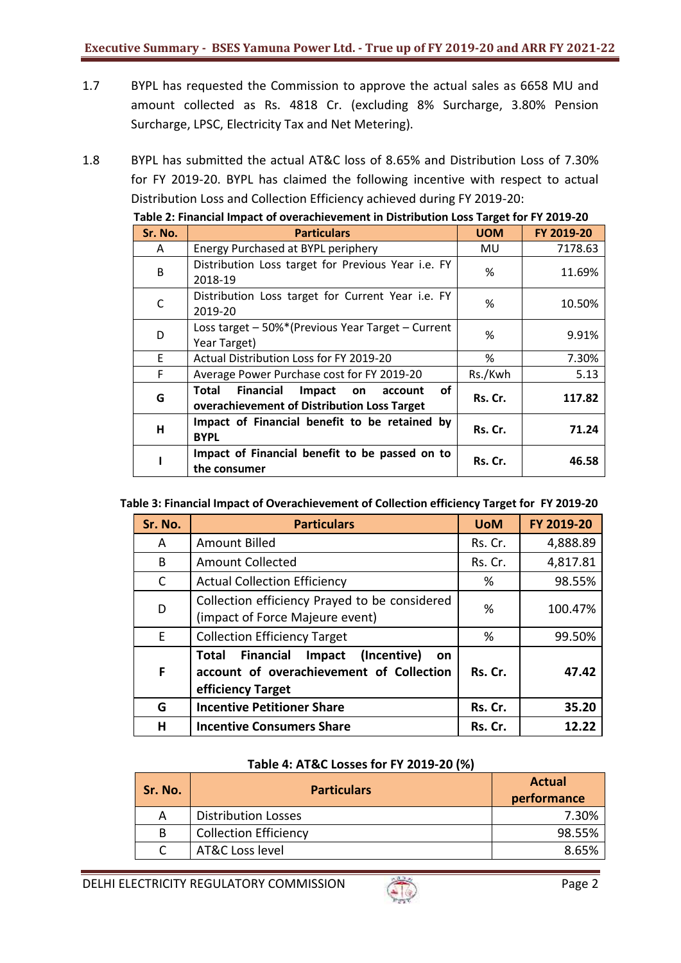- 1.7 BYPL has requested the Commission to approve the actual sales as 6658 MU and amount collected as Rs. 4818 Cr. (excluding 8% Surcharge, 3.80% Pension Surcharge, LPSC, Electricity Tax and Net Metering).
- 1.8 BYPL has submitted the actual AT&C loss of 8.65% and Distribution Loss of 7.30% for FY 2019-20. BYPL has claimed the following incentive with respect to actual Distribution Loss and Collection Efficiency achieved during FY 2019-20:

| Table 2: Financial Impact of overachievement in Distribution Loss Target for FY 2019-20 |                                                                                                    |            |            |  |
|-----------------------------------------------------------------------------------------|----------------------------------------------------------------------------------------------------|------------|------------|--|
| Sr. No.                                                                                 | <b>Particulars</b>                                                                                 | <b>UOM</b> | FY 2019-20 |  |
| A                                                                                       | Energy Purchased at BYPL periphery                                                                 | MU         | 7178.63    |  |
| B                                                                                       | Distribution Loss target for Previous Year i.e. FY<br>2018-19                                      | %          | 11.69%     |  |
| C                                                                                       | Distribution Loss target for Current Year i.e. FY<br>2019-20                                       | %          | 10.50%     |  |
| D                                                                                       | Loss target - 50%* (Previous Year Target - Current<br>Year Target)                                 | %          | 9.91%      |  |
| E.                                                                                      | Actual Distribution Loss for FY 2019-20                                                            | %          | 7.30%      |  |
| F.                                                                                      | Average Power Purchase cost for FY 2019-20                                                         | Rs./Kwh    | 5.13       |  |
| G                                                                                       | of<br>Financial<br>Impact<br>Total<br>on<br>account<br>overachievement of Distribution Loss Target | Rs. Cr.    | 117.82     |  |
| H                                                                                       | Impact of Financial benefit to be retained by<br><b>BYPL</b>                                       | Rs. Cr.    | 71.24      |  |
|                                                                                         | Impact of Financial benefit to be passed on to<br>the consumer                                     | Rs. Cr.    | 46.58      |  |

#### **Table 3: Financial Impact of Overachievement of Collection efficiency Target for FY 2019-20**

| Sr. No.      | <b>Particulars</b>                                                                                                        | <b>UoM</b> | FY 2019-20 |
|--------------|---------------------------------------------------------------------------------------------------------------------------|------------|------------|
| A            | <b>Amount Billed</b>                                                                                                      | Rs. Cr.    | 4,888.89   |
| B            | <b>Amount Collected</b>                                                                                                   | Rs. Cr.    | 4,817.81   |
| $\mathsf{C}$ | <b>Actual Collection Efficiency</b>                                                                                       | %          | 98.55%     |
| D            | Collection efficiency Prayed to be considered<br>(impact of Force Majeure event)                                          | %          | 100.47%    |
| E            | <b>Collection Efficiency Target</b>                                                                                       | %          | 99.50%     |
| F            | Financial<br>(Incentive)<br>Impact<br>Total<br><b>on</b><br>account of overachievement of Collection<br>efficiency Target | Rs. Cr.    | 47.42      |
| G            | <b>Incentive Petitioner Share</b>                                                                                         | Rs. Cr.    | 35.20      |
| н            | <b>Incentive Consumers Share</b>                                                                                          | Rs. Cr.    | 12.22      |

#### **Table 4: AT&C Losses for FY 2019-20 (%)**

| Sr. No. | <b>Particulars</b>           | <b>Actual</b><br>performance |
|---------|------------------------------|------------------------------|
| А       | <b>Distribution Losses</b>   | 7.30%                        |
| B       | <b>Collection Efficiency</b> | 98.55%                       |
|         | AT&C Loss level              | 8.65%                        |

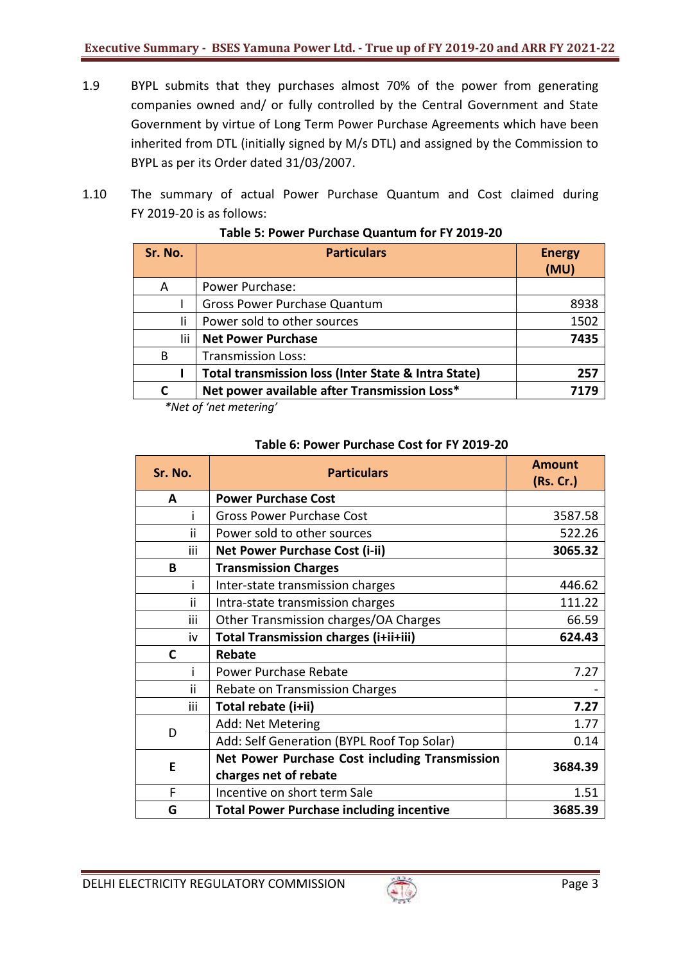- 1.9 BYPL submits that they purchases almost 70% of the power from generating companies owned and/ or fully controlled by the Central Government and State Government by virtue of Long Term Power Purchase Agreements which have been inherited from DTL (initially signed by M/s DTL) and assigned by the Commission to BYPL as per its Order dated 31/03/2007.
- 1.10 The summary of actual Power Purchase Quantum and Cost claimed during FY 2019-20 is as follows:

| <b>Particulars</b>                                  | <b>Energy</b><br>(MU) |
|-----------------------------------------------------|-----------------------|
| Power Purchase:                                     |                       |
| <b>Gross Power Purchase Quantum</b>                 | 8938                  |
| Power sold to other sources                         | 1502                  |
| <b>Net Power Purchase</b>                           | 7435                  |
| <b>Transmission Loss:</b>                           |                       |
| Total transmission loss (Inter State & Intra State) | 257                   |
| Net power available after Transmission Loss*        | 7179                  |
|                                                     | $\mathcal{L}$         |

### **Table 5: Power Purchase Quantum for FY 2019-20**

*\*Net of 'net metering'*

| Sr. No.      | <b>Particulars</b>                              | <b>Amount</b><br>(Rs. Cr.) |  |
|--------------|-------------------------------------------------|----------------------------|--|
| A            | <b>Power Purchase Cost</b>                      |                            |  |
|              | <b>Gross Power Purchase Cost</b>                | 3587.58                    |  |
| ii           | Power sold to other sources                     | 522.26                     |  |
| iii          | <b>Net Power Purchase Cost (i-ii)</b>           | 3065.32                    |  |
| B            | <b>Transmission Charges</b>                     |                            |  |
| i            | Inter-state transmission charges                | 446.62                     |  |
| ii           | Intra-state transmission charges                | 111.22                     |  |
| iii          | Other Transmission charges/OA Charges           | 66.59                      |  |
| iv           | Total Transmission charges (i+ii+iii)           | 624.43                     |  |
| $\mathbf{C}$ | <b>Rebate</b>                                   |                            |  |
|              | Power Purchase Rebate                           | 7.27                       |  |
| ii           | Rebate on Transmission Charges                  |                            |  |
| <b>iii</b>   | Total rebate (i+ii)                             | 7.27                       |  |
|              | Add: Net Metering                               | 1.77                       |  |
| D            | Add: Self Generation (BYPL Roof Top Solar)      | 0.14                       |  |
| E            | Net Power Purchase Cost including Transmission  |                            |  |
|              | charges net of rebate                           | 3684.39                    |  |
| F            | Incentive on short term Sale                    | 1.51                       |  |
| G            | <b>Total Power Purchase including incentive</b> | 3685.39                    |  |

#### **Table 6: Power Purchase Cost for FY 2019-20**

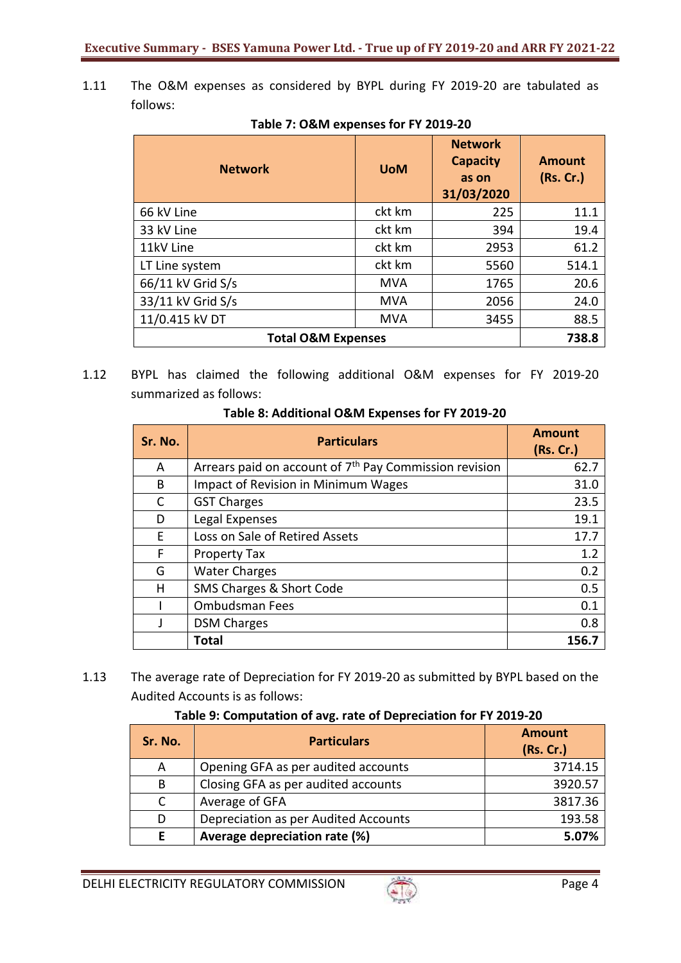1.11 The O&M expenses as considered by BYPL during FY 2019-20 are tabulated as follows:

| <b>Network</b>                | <b>UoM</b> | <b>Network</b><br><b>Capacity</b><br>as on<br>31/03/2020 | <b>Amount</b><br>(Rs. Cr.) |
|-------------------------------|------------|----------------------------------------------------------|----------------------------|
| 66 kV Line                    | ckt km     | 225                                                      | 11.1                       |
| 33 kV Line                    | ckt km     | 394                                                      | 19.4                       |
| 11kV Line                     | ckt km     | 2953                                                     | 61.2                       |
| LT Line system                | ckt km     | 5560                                                     | 514.1                      |
| 66/11 kV Grid S/s             | <b>MVA</b> | 1765                                                     | 20.6                       |
| 33/11 kV Grid S/s             | <b>MVA</b> | 2056                                                     | 24.0                       |
| 11/0.415 kV DT                | <b>MVA</b> | 3455                                                     | 88.5                       |
| <b>Total O&amp;M Expenses</b> | 738.8      |                                                          |                            |

# **Table 7: O&M expenses for FY 2019-20**

1.12 BYPL has claimed the following additional O&M expenses for FY 2019-20 summarized as follows:

| Sr. No. | <b>Particulars</b>                                                 | <b>Amount</b><br>(Rs. Cr.) |
|---------|--------------------------------------------------------------------|----------------------------|
| A       | Arrears paid on account of 7 <sup>th</sup> Pay Commission revision | 62.7                       |
| B       | Impact of Revision in Minimum Wages                                | 31.0                       |
| С       | <b>GST Charges</b>                                                 | 23.5                       |
| D       | Legal Expenses                                                     | 19.1                       |
| F       | Loss on Sale of Retired Assets                                     | 17.7                       |
| F       | <b>Property Tax</b>                                                | 1.2                        |
| G       | <b>Water Charges</b>                                               | 0.2                        |
| н       | SMS Charges & Short Code                                           | 0.5                        |
|         | <b>Ombudsman Fees</b>                                              | 0.1                        |
|         | <b>DSM Charges</b>                                                 | 0.8                        |
|         | <b>Total</b>                                                       | 156.7                      |

1.13 The average rate of Depreciation for FY 2019-20 as submitted by BYPL based on the Audited Accounts is as follows:

## **Table 9: Computation of avg. rate of Depreciation for FY 2019-20**

| Sr. No. | <b>Particulars</b>                   | <b>Amount</b><br>(Rs. Cr.) |
|---------|--------------------------------------|----------------------------|
| A       | Opening GFA as per audited accounts  | 3714.15                    |
| B       | Closing GFA as per audited accounts  | 3920.57                    |
| C       | Average of GFA                       | 3817.36                    |
| D       | Depreciation as per Audited Accounts | 193.58                     |
|         | Average depreciation rate (%)        | 5.07%                      |

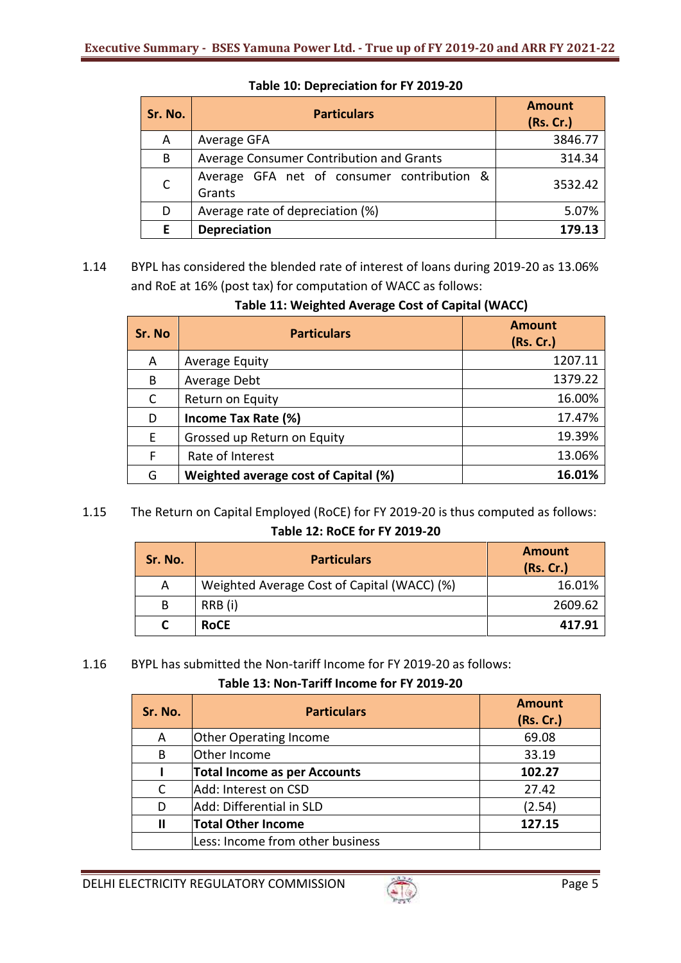| Sr. No.      | <b>Particulars</b>                                   | <b>Amount</b><br>(Rs. Cr.) |
|--------------|------------------------------------------------------|----------------------------|
| A            | Average GFA                                          | 3846.77                    |
| B            | Average Consumer Contribution and Grants             | 314.34                     |
| $\mathsf{C}$ | Average GFA net of consumer contribution &<br>Grants | 3532.42                    |
| D            | Average rate of depreciation (%)                     | 5.07%                      |
| E            | <b>Depreciation</b>                                  | 179.13                     |

**Table 10: Depreciation for FY 2019-20**

1.14 BYPL has considered the blended rate of interest of loans during 2019-20 as 13.06% and RoE at 16% (post tax) for computation of WACC as follows:

|  |  | Table 11: Weighted Average Cost of Capital (WACC) |  |  |
|--|--|---------------------------------------------------|--|--|
|--|--|---------------------------------------------------|--|--|

| Sr. No       | <b>Particulars</b>                   | <b>Amount</b><br>(Rs. Cr.) |
|--------------|--------------------------------------|----------------------------|
| A            | Average Equity                       | 1207.11                    |
| B            | Average Debt                         | 1379.22                    |
| $\mathsf{C}$ | Return on Equity                     | 16.00%                     |
| D            | Income Tax Rate (%)                  | 17.47%                     |
| E            | Grossed up Return on Equity          | 19.39%                     |
| F            | Rate of Interest                     | 13.06%                     |
| G            | Weighted average cost of Capital (%) | 16.01%                     |

# 1.15 The Return on Capital Employed (RoCE) for FY 2019-20 is thus computed as follows: **Table 12: RoCE for FY 2019-20**

| Sr. No. | <b>Particulars</b>                          | <b>Amount</b><br>(Rs. Cr.) |
|---------|---------------------------------------------|----------------------------|
| А       | Weighted Average Cost of Capital (WACC) (%) | 16.01%                     |
|         | RRB (i)                                     | 2609.62                    |
|         | <b>RoCE</b>                                 | 417.91                     |

## 1.16 BYPL has submitted the Non-tariff Income for FY 2019-20 as follows:

## **Table 13: Non-Tariff Income for FY 2019-20**

| Sr. No. | <b>Particulars</b>                  | <b>Amount</b><br>(Rs. Cr.) |
|---------|-------------------------------------|----------------------------|
| A       | <b>Other Operating Income</b>       | 69.08                      |
| B       | Other Income                        | 33.19                      |
|         | <b>Total Income as per Accounts</b> | 102.27                     |
| C       | Add: Interest on CSD                | 27.42                      |
| D       | Add: Differential in SLD            | (2.54)                     |
|         | <b>Total Other Income</b>           | 127.15                     |
|         | Less: Income from other business    |                            |

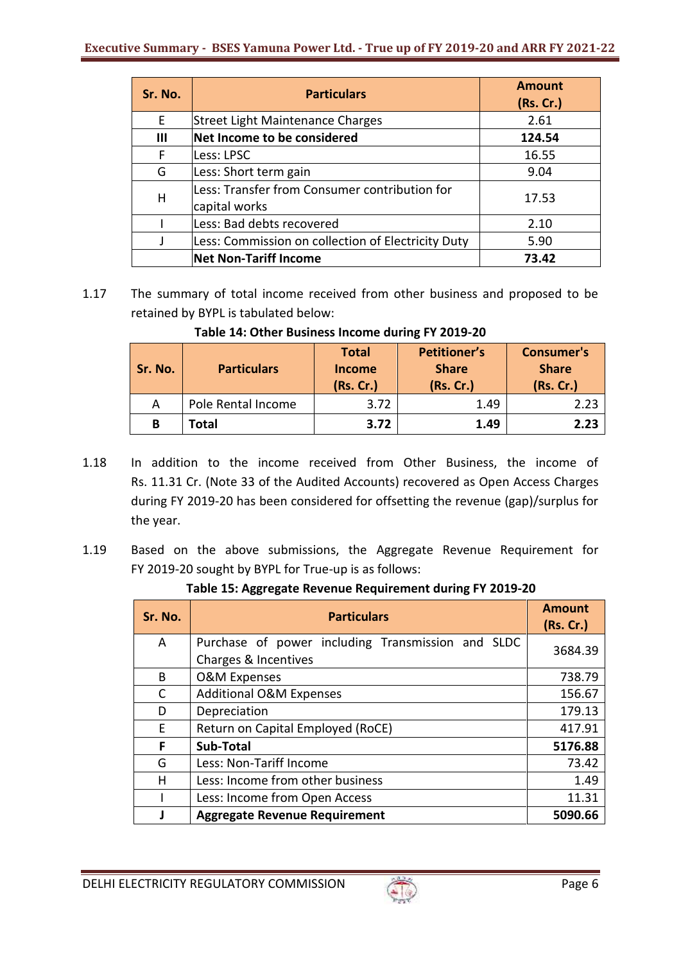| Sr. No. | <b>Particulars</b>                                             | <b>Amount</b><br>(Rs. Cr.) |
|---------|----------------------------------------------------------------|----------------------------|
| Ε       | Street Light Maintenance Charges                               | 2.61                       |
| Ш       | Net Income to be considered                                    | 124.54                     |
| F       | Less: LPSC                                                     | 16.55                      |
| G       | Less: Short term gain                                          | 9.04                       |
| H       | Less: Transfer from Consumer contribution for<br>capital works | 17.53                      |
|         | Less: Bad debts recovered                                      | 2.10                       |
|         | Less: Commission on collection of Electricity Duty             | 5.90                       |
|         | <b>Net Non-Tariff Income</b>                                   | 73.42                      |

1.17 The summary of total income received from other business and proposed to be retained by BYPL is tabulated below:

| Table 14: Other Business Income during FY 2019-20 |                                             |  |
|---------------------------------------------------|---------------------------------------------|--|
|                                                   | the company's company's company's company's |  |

| Sr. No. | <b>Particulars</b> | <b>Total</b><br>Income<br>(Rs. Cr.) | <b>Petitioner's</b><br><b>Share</b><br>(Rs. Cr.) | <b>Consumer's</b><br><b>Share</b><br>(Rs. Cr.) |
|---------|--------------------|-------------------------------------|--------------------------------------------------|------------------------------------------------|
|         | Pole Rental Income | 3.72                                | 1.49                                             | 2.23                                           |
| В       | Total              | 3.72                                | 1.49                                             | 2.23                                           |

- 1.18 In addition to the income received from Other Business, the income of Rs. 11.31 Cr. (Note 33 of the Audited Accounts) recovered as Open Access Charges during FY 2019-20 has been considered for offsetting the revenue (gap)/surplus for the year.
- 1.19 Based on the above submissions, the Aggregate Revenue Requirement for FY 2019-20 sought by BYPL for True-up is as follows:

**Table 15: Aggregate Revenue Requirement during FY 2019-20**

| Sr. No. | <b>Particulars</b>                                                        | <b>Amount</b><br>(Rs. Cr.) |
|---------|---------------------------------------------------------------------------|----------------------------|
| A       | Purchase of power including Transmission and SLDC<br>Charges & Incentives | 3684.39                    |
| B       | <b>O&amp;M Expenses</b>                                                   | 738.79                     |
| C       | <b>Additional O&amp;M Expenses</b>                                        | 156.67                     |
| D       | Depreciation                                                              | 179.13                     |
| F       | Return on Capital Employed (RoCE)                                         | 417.91                     |
| F       | Sub-Total                                                                 | 5176.88                    |
| G       | Less: Non-Tariff Income                                                   | 73.42                      |
| н       | Less: Income from other business                                          | 1.49                       |
|         | Less: Income from Open Access                                             | 11.31                      |
|         | <b>Aggregate Revenue Requirement</b>                                      | 5090.66                    |

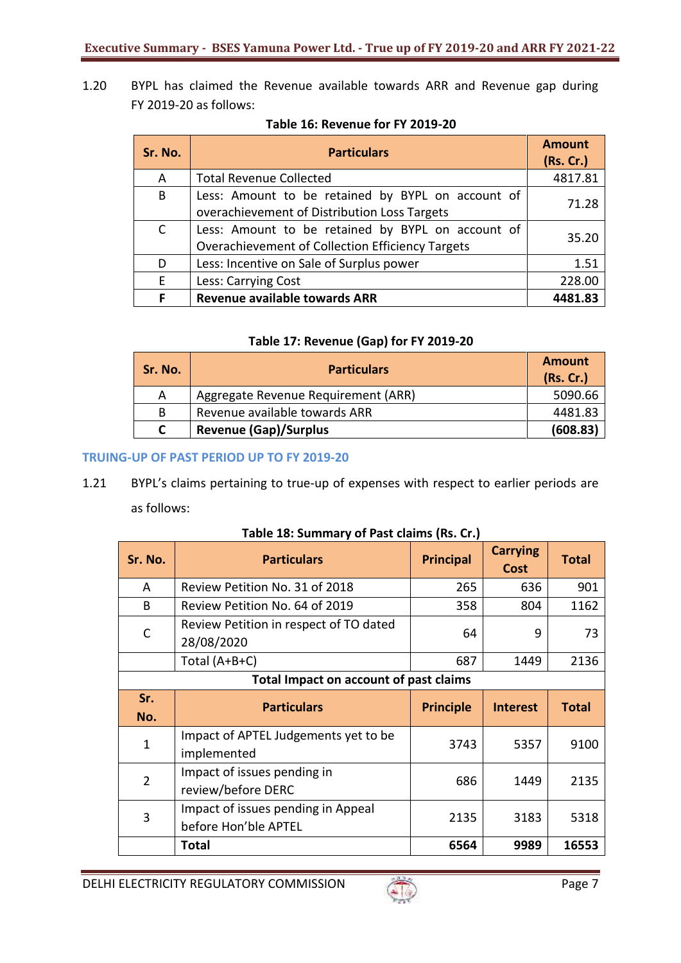1.20 BYPL has claimed the Revenue available towards ARR and Revenue gap during FY 2019-20 as follows:

| Sr. No.      | <b>Particulars</b>                                                                                    | <b>Amount</b><br>(Rs. Cr.) |
|--------------|-------------------------------------------------------------------------------------------------------|----------------------------|
| A            | <b>Total Revenue Collected</b>                                                                        | 4817.81                    |
| В            | Less: Amount to be retained by BYPL on account of<br>overachievement of Distribution Loss Targets     | 71.28                      |
| $\mathsf{C}$ | Less: Amount to be retained by BYPL on account of<br>Overachievement of Collection Efficiency Targets | 35.20                      |
| D            | Less: Incentive on Sale of Surplus power                                                              | 1.51                       |
| E            | Less: Carrying Cost                                                                                   | 228.00                     |
| F            | <b>Revenue available towards ARR</b>                                                                  | 4481.83                    |

#### **Table 16: Revenue for FY 2019-20**

# **Table 17: Revenue (Gap) for FY 2019-20**

| Sr. No. | <b>Particulars</b>                  | Amount<br>(Rs. Cr.) |
|---------|-------------------------------------|---------------------|
| A       | Aggregate Revenue Requirement (ARR) | 5090.66             |
| B       | Revenue available towards ARR       | 4481.83             |
|         | <b>Revenue (Gap)/Surplus</b>        | (608.83)            |

# **TRUING‐UP OF PAST PERIOD UP TO FY 2019‐20**

1.21 BYPL's claims pertaining to true‐up of expenses with respect to earlier periods are as follows:

| Sr. No.                                | <b>Particulars</b>                                         | <b>Principal</b> | <b>Carrying</b><br><b>Cost</b> | <b>Total</b> |  |  |  |
|----------------------------------------|------------------------------------------------------------|------------------|--------------------------------|--------------|--|--|--|
| A                                      | Review Petition No. 31 of 2018                             | 265              | 636                            | 901          |  |  |  |
| B                                      | Review Petition No. 64 of 2019                             | 358              | 804                            | 1162         |  |  |  |
| C                                      | Review Petition in respect of TO dated<br>28/08/2020       | 64               | 9                              | 73           |  |  |  |
|                                        | Total $(A+B+C)$                                            | 687              | 1449                           | 2136         |  |  |  |
| Total Impact on account of past claims |                                                            |                  |                                |              |  |  |  |
| Sr.                                    | <b>Particulars</b>                                         | <b>Principle</b> | <b>Interest</b>                | <b>Total</b> |  |  |  |
| No.                                    |                                                            |                  |                                |              |  |  |  |
| 1                                      | Impact of APTEL Judgements yet to be<br>implemented        | 3743             | 5357                           | 9100         |  |  |  |
| $\overline{2}$                         | Impact of issues pending in<br>review/before DERC          | 686              | 1449                           | 2135         |  |  |  |
| 3                                      | Impact of issues pending in Appeal<br>before Hon'ble APTEL | 2135             | 3183                           | 5318         |  |  |  |
|                                        | Total                                                      | 6564             | 9989                           | 16553        |  |  |  |

#### **Table 18: Summary of Past claims (Rs. Cr.)**

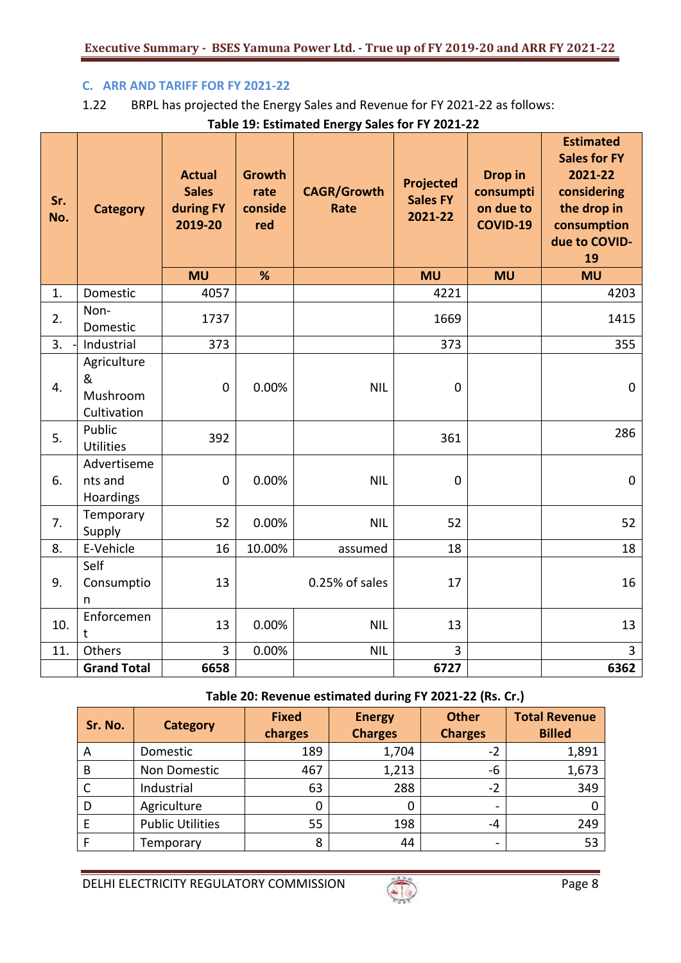## **C. ARR AND TARIFF FOR FY 2021-22**

# 1.22 BRPL has projected the Energy Sales and Revenue for FY 2021-22 as follows:

**Table 19: Estimated Energy Sales for FY 2021-22**

| Sr.<br>No. | <b>Category</b>                             | <b>Actual</b><br><b>Sales</b><br>during FY<br>2019-20 | <b>Growth</b><br>rate<br>conside<br>red | <b>CAGR/Growth</b><br>Rate | <b>Projected</b><br><b>Sales FY</b><br>2021-22 | Drop in<br>consumpti<br>on due to<br>COVID-19 | <b>Estimated</b><br><b>Sales for FY</b><br>2021-22<br>considering<br>the drop in<br>consumption<br>due to COVID-<br>19 |
|------------|---------------------------------------------|-------------------------------------------------------|-----------------------------------------|----------------------------|------------------------------------------------|-----------------------------------------------|------------------------------------------------------------------------------------------------------------------------|
|            |                                             | <b>MU</b>                                             | %                                       |                            | <b>MU</b>                                      | <b>MU</b>                                     | <b>MU</b>                                                                                                              |
| 1.         | Domestic                                    | 4057                                                  |                                         |                            | 4221                                           |                                               | 4203                                                                                                                   |
| 2.         | Non-<br>Domestic                            | 1737                                                  |                                         |                            | 1669                                           |                                               | 1415                                                                                                                   |
| 3.         | Industrial                                  | 373                                                   |                                         |                            | 373                                            |                                               | 355                                                                                                                    |
| 4.         | Agriculture<br>&<br>Mushroom<br>Cultivation | $\mathbf 0$                                           | 0.00%                                   | <b>NIL</b>                 | $\mathbf 0$                                    |                                               | $\mathbf 0$                                                                                                            |
| 5.         | Public<br><b>Utilities</b>                  | 392                                                   |                                         |                            | 361                                            |                                               | 286                                                                                                                    |
| 6.         | Advertiseme<br>nts and<br>Hoardings         | $\mathbf 0$                                           | 0.00%                                   | <b>NIL</b>                 | $\mathbf 0$                                    |                                               | $\mathbf 0$                                                                                                            |
| 7.         | Temporary<br>Supply                         | 52                                                    | 0.00%                                   | <b>NIL</b>                 | 52                                             |                                               | 52                                                                                                                     |
| 8.         | E-Vehicle                                   | 16                                                    | 10.00%                                  | assumed                    | 18                                             |                                               | 18                                                                                                                     |
| 9.         | Self<br>Consumptio<br>n                     | 13                                                    |                                         | 0.25% of sales             | 17                                             |                                               | 16                                                                                                                     |
| 10.        | Enforcemen<br>t                             | 13                                                    | 0.00%                                   | <b>NIL</b>                 | 13                                             |                                               | 13                                                                                                                     |
| 11.        | Others                                      | $\overline{3}$                                        | 0.00%                                   | <b>NIL</b>                 | 3                                              |                                               | $\overline{3}$                                                                                                         |
|            | <b>Grand Total</b>                          | 6658                                                  |                                         |                            | 6727                                           |                                               | 6362                                                                                                                   |

# **Table 20: Revenue estimated during FY 2021-22 (Rs. Cr.)**

| Sr. No. | <b>Category</b>         | <b>Fixed</b><br>charges | <b>Energy</b><br><b>Charges</b> | <b>Other</b><br><b>Charges</b> | <b>Total Revenue</b><br><b>Billed</b> |
|---------|-------------------------|-------------------------|---------------------------------|--------------------------------|---------------------------------------|
| A       | Domestic                | 189                     | 1,704                           | $-2$                           | 1,891                                 |
| B       | Non Domestic            | 467                     | 1,213                           | -6                             | 1,673                                 |
| C       | Industrial              | 63                      | 288                             | $-2$                           | 349                                   |
| D       | Agriculture             | 0                       | 0                               | -                              |                                       |
| F       | <b>Public Utilities</b> | 55                      | 198                             | -4                             | 249                                   |
|         | Temporary               | 8                       | 44                              | -                              | 53                                    |

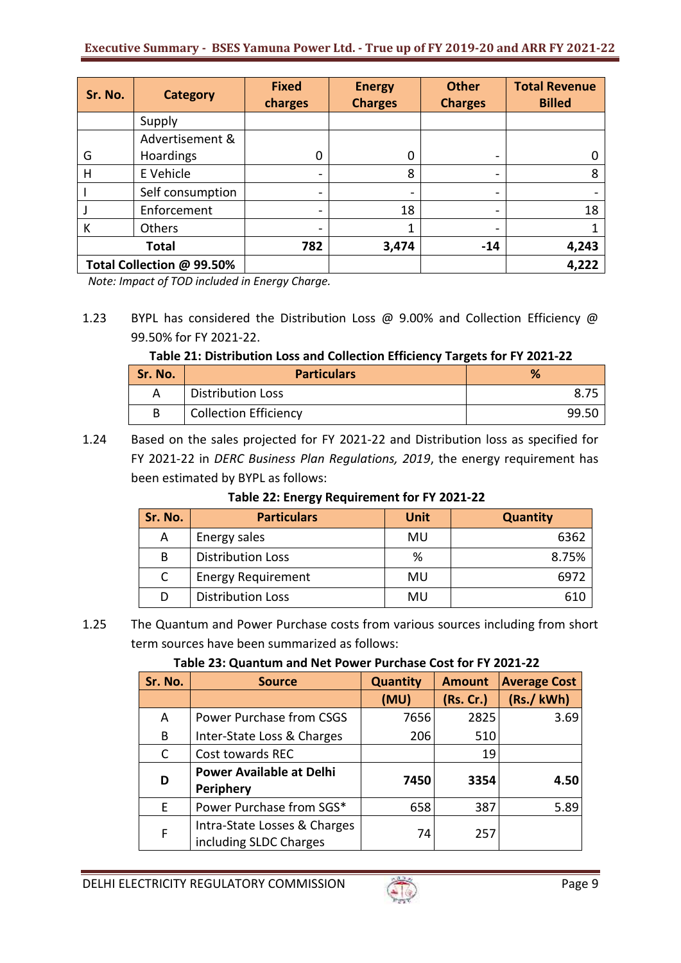| Sr. No.                   | <b>Category</b>  | <b>Fixed</b><br>charges      | <b>Energy</b><br><b>Charges</b> | <b>Other</b><br><b>Charges</b> | <b>Total Revenue</b><br><b>Billed</b> |
|---------------------------|------------------|------------------------------|---------------------------------|--------------------------------|---------------------------------------|
|                           | Supply           |                              |                                 |                                |                                       |
|                           | Advertisement &  |                              |                                 |                                |                                       |
| G                         | Hoardings        | 0                            |                                 |                                |                                       |
| н                         | E Vehicle        | $\overline{\phantom{a}}$     | 8                               |                                | 8                                     |
|                           | Self consumption |                              |                                 |                                |                                       |
|                           | Enforcement      | $\overline{\phantom{a}}$     | 18                              | -                              | 18                                    |
| К                         | Others           | $\qquad \qquad \blacksquare$ |                                 |                                |                                       |
| <b>Total</b>              |                  | 782                          | 3,474                           | $-14$                          | 4,243                                 |
| Total Collection @ 99.50% |                  |                              |                                 |                                | 4,222                                 |

 *Note: Impact of TOD included in Energy Charge.*

1.23 BYPL has considered the Distribution Loss @ 9.00% and Collection Efficiency @ 99.50% for FY 2021-22.

**Table 21: Distribution Loss and Collection Efficiency Targets for FY 2021-22**

| Sr. No. | <b>Particulars</b>           | %      |
|---------|------------------------------|--------|
|         | <b>Distribution Loss</b>     |        |
|         | <b>Collection Efficiency</b> | -99.5C |

1.24 Based on the sales projected for FY 2021-22 and Distribution loss as specified for FY 2021-22 in *DERC Business Plan Regulations, 2019*, the energy requirement has been estimated by BYPL as follows:

| Table 22: Energy Requirement for FY 2021-22 |  |
|---------------------------------------------|--|
|                                             |  |

| Sr. No. | <b>Particulars</b>        | Unit | <b>Quantity</b> |
|---------|---------------------------|------|-----------------|
| A       | Energy sales              | MU   | 6362            |
| B       | <b>Distribution Loss</b>  | %    | 8.75%           |
| C       | <b>Energy Requirement</b> | MU   | 6972            |
| D       | <b>Distribution Loss</b>  | MU   | 610             |

1.25 The Quantum and Power Purchase costs from various sources including from short term sources have been summarized as follows:

# **Table 23: Quantum and Net Power Purchase Cost for FY 2021-22**

| Sr. No. | <b>Source</b>                                          | <b>Quantity</b> | <b>Amount</b> | <b>Average Cost</b> |
|---------|--------------------------------------------------------|-----------------|---------------|---------------------|
|         |                                                        | (MU)            | (Rs. Cr.)     | (Rs./kWh)           |
| A       | Power Purchase from CSGS                               | 7656            | 2825          | 3.69                |
| B       | Inter-State Loss & Charges                             | 206             | 510           |                     |
| C       | Cost towards REC                                       |                 | 19            |                     |
| D       | <b>Power Available at Delhi</b><br><b>Periphery</b>    | 7450            | 3354          | 4.50                |
| E.      | Power Purchase from SGS*                               | 658             | 387           | 5.89                |
| F       | Intra-State Losses & Charges<br>including SLDC Charges | 74              | 257           |                     |

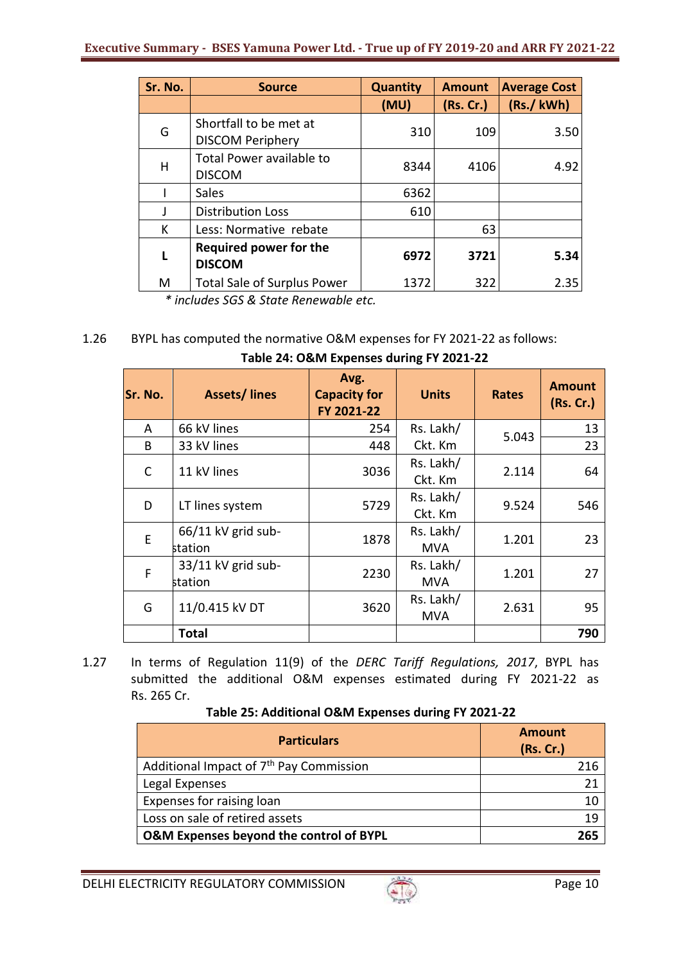| Sr. No. | <b>Source</b>                                     | <b>Quantity</b> | <b>Amount</b> | <b>Average Cost</b> |
|---------|---------------------------------------------------|-----------------|---------------|---------------------|
|         |                                                   | (MU)            | (Rs. Cr.)     | (Rs./kWh)           |
| G       | Shortfall to be met at<br><b>DISCOM Periphery</b> | 310             | 109           | 3.50                |
| H       | Total Power available to<br><b>DISCOM</b>         | 8344            | 4106          | 4.92                |
|         | Sales                                             | 6362            |               |                     |
| J       | <b>Distribution Loss</b>                          | 610             |               |                     |
| К       | Less: Normative rebate                            |                 | 63            |                     |
| L       | <b>Required power for the</b><br><b>DISCOM</b>    | 6972            | 3721          | 5.34                |
| M       | <b>Total Sale of Surplus Power</b>                | 1372            | 322           | 2.35                |

*\* includes SGS & State Renewable etc.*

# 1.26 BYPL has computed the normative O&M expenses for FY 2021-22 as follows:

| Sr. No. | <b>Assets/lines</b> | Avg.<br><b>Capacity for</b><br>FY 2021-22 | <b>Units</b> | <b>Rates</b> | <b>Amount</b><br>(Rs. Cr.) |
|---------|---------------------|-------------------------------------------|--------------|--------------|----------------------------|
| A       | 66 kV lines         | 254                                       | Rs. Lakh/    | 5.043        | 13                         |
| B       | 33 kV lines         | 448                                       | Ckt. Km      |              | 23                         |
| C       | 11 kV lines         | 3036                                      | Rs. Lakh/    | 2.114        | 64                         |
|         |                     |                                           | Ckt. Km      |              |                            |
| D       |                     | 5729                                      | Rs. Lakh/    | 9.524        | 546                        |
|         | LT lines system     |                                           | Ckt. Km      |              |                            |
| E       | 66/11 kV grid sub-  | 1878                                      | Rs. Lakh/    | 1.201        | 23                         |
|         | station             |                                           | MVA          |              |                            |
| F       | 33/11 kV grid sub-  | 2230                                      | Rs. Lakh/    | 1.201        | 27                         |
|         | station             |                                           | <b>MVA</b>   |              |                            |
| G       | 11/0.415 kV DT      | 3620                                      | Rs. Lakh/    | 2.631        | 95                         |
|         |                     |                                           | MVA          |              |                            |
|         | <b>Total</b>        |                                           |              |              | 790                        |

| Table 24: O&M Expenses during FY 2021-22 |
|------------------------------------------|
|------------------------------------------|

1.27 In terms of Regulation 11(9) of the *DERC Tariff Regulations, 2017*, BYPL has submitted the additional O&M expenses estimated during FY 2021-22 as Rs. 265 Cr.

| <b>Particulars</b>                                  | <b>Amount</b><br>(Rs. Cr.) |
|-----------------------------------------------------|----------------------------|
| Additional Impact of 7 <sup>th</sup> Pay Commission |                            |
| Legal Expenses                                      | 21                         |
| Expenses for raising loan                           | 10                         |
| Loss on sale of retired assets                      | 19                         |
| O&M Expenses beyond the control of BYPL             | 765.                       |

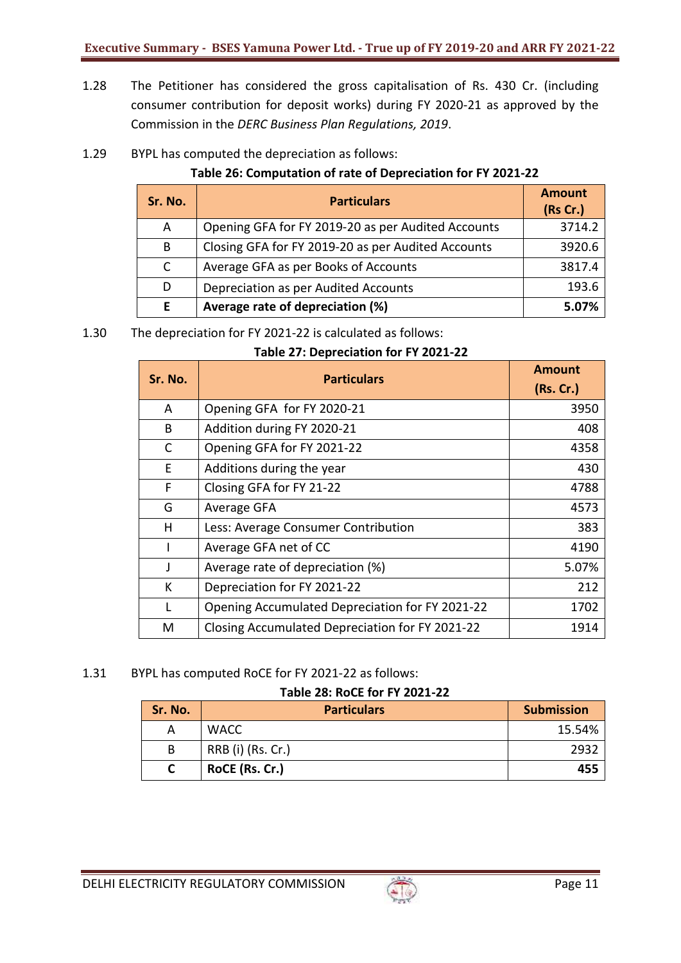- 1.28 The Petitioner has considered the gross capitalisation of Rs. 430 Cr. (including consumer contribution for deposit works) during FY 2020-21 as approved by the Commission in the *DERC Business Plan Regulations, 2019*.
- 1.29 BYPL has computed the depreciation as follows:

# **Table 26: Computation of rate of Depreciation for FY 2021-22**

| Sr. No.      | <b>Particulars</b>                                 | <b>Amount</b><br>(Rs Cr.) |
|--------------|----------------------------------------------------|---------------------------|
| A            | Opening GFA for FY 2019-20 as per Audited Accounts | 3714.2                    |
| B            | Closing GFA for FY 2019-20 as per Audited Accounts | 3920.6                    |
| $\mathsf{C}$ | Average GFA as per Books of Accounts               | 3817.4                    |
| D            | Depreciation as per Audited Accounts               | 193.6                     |
| F            | Average rate of depreciation (%)                   | 5.07%                     |

1.30 The depreciation for FY 2021-22 is calculated as follows:

| Table 27: Depreciation for FY 2021-22                                                                                                                                                                                                |  |
|--------------------------------------------------------------------------------------------------------------------------------------------------------------------------------------------------------------------------------------|--|
| <b>Dental Contract Contract Contract Contract Contract Contract Contract Contract Contract Contract Contract Contract Contract Contract Contract Contract Contract Contract Contract Contract Contract Contract Contract Contrac</b> |  |

| Sr. No. | <b>Particulars</b>                              | <b>Amount</b><br>(Rs. Cr.) |
|---------|-------------------------------------------------|----------------------------|
|         |                                                 |                            |
| A       | Opening GFA for FY 2020-21                      | 3950                       |
| B       | Addition during FY 2020-21                      | 408                        |
| С       | Opening GFA for FY 2021-22                      | 4358                       |
| E.      | Additions during the year                       | 430                        |
| F       | Closing GFA for FY 21-22                        | 4788                       |
| G       | Average GFA                                     | 4573                       |
| н       | Less: Average Consumer Contribution             | 383                        |
|         | Average GFA net of CC                           | 4190                       |
| J       | Average rate of depreciation (%)                | 5.07%                      |
| К       | Depreciation for FY 2021-22                     | 212                        |
| L       | Opening Accumulated Depreciation for FY 2021-22 | 1702                       |
| M       | Closing Accumulated Depreciation for FY 2021-22 | 1914                       |

1.31 BYPL has computed RoCE for FY 2021-22 as follows:

## **Table 28: RoCE for FY 2021-22**

| Sr. No. | <b>Particulars</b> | <b>Submission</b> |
|---------|--------------------|-------------------|
| А       | <b>WACC</b>        | 15.54%            |
| B       | RRB (i) (Rs. Cr.)  | -2932             |
|         | RoCE (Rs. Cr.)     | 455               |

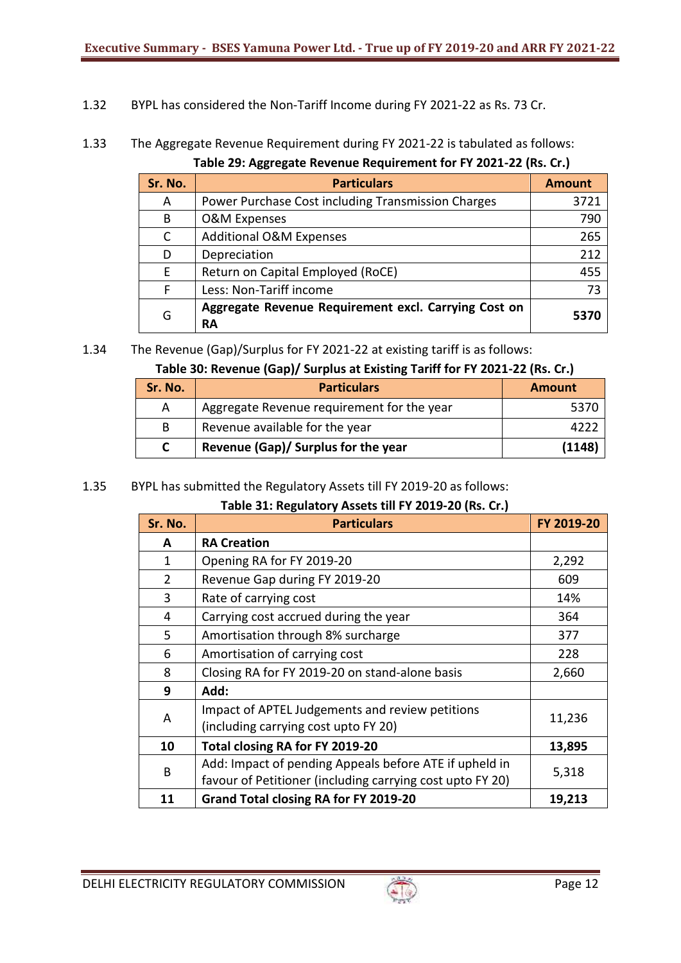- 1.32 BYPL has considered the Non-Tariff Income during FY 2021-22 as Rs. 73 Cr.
- 1.33 The Aggregate Revenue Requirement during FY 2021-22 is tabulated as follows:

**Table 29: Aggregate Revenue Requirement for FY 2021-22 (Rs. Cr.)**

| Sr. No. | <b>Particulars</b>                                         | <b>Amount</b> |
|---------|------------------------------------------------------------|---------------|
| A       | Power Purchase Cost including Transmission Charges         | 3721          |
| B       | <b>O&amp;M Expenses</b>                                    | 790           |
| C       | <b>Additional O&amp;M Expenses</b>                         | 265           |
| D       | Depreciation                                               | 212           |
| F       | Return on Capital Employed (RoCE)                          | 455           |
| F       | Less: Non-Tariff income                                    | 73            |
| G       | Aggregate Revenue Requirement excl. Carrying Cost on<br>RA | 5370          |

<sup>1.34</sup> The Revenue (Gap)/Surplus for FY 2021-22 at existing tariff is as follows:

# **Table 30: Revenue (Gap)/ Surplus at Existing Tariff for FY 2021-22 (Rs. Cr.)**

| Sr. No. | <b>Particulars</b>                         | <b>Amount</b> |
|---------|--------------------------------------------|---------------|
| А       | Aggregate Revenue requirement for the year | -5376         |
| B       | Revenue available for the year             |               |
|         | Revenue (Gap)/ Surplus for the year        | (1148)        |

# 1.35 BYPL has submitted the Regulatory Assets till FY 2019-20 as follows:

## **Table 31: Regulatory Assets till FY 2019-20 (Rs. Cr.)**

| Sr. No.        | <b>Particulars</b>                                                                                                  | FY 2019-20 |
|----------------|---------------------------------------------------------------------------------------------------------------------|------------|
| A              | <b>RA Creation</b>                                                                                                  |            |
| 1              | Opening RA for FY 2019-20                                                                                           | 2,292      |
| $\overline{2}$ | Revenue Gap during FY 2019-20                                                                                       | 609        |
| 3              | Rate of carrying cost                                                                                               | 14%        |
| 4              | Carrying cost accrued during the year                                                                               | 364        |
| 5              | Amortisation through 8% surcharge                                                                                   | 377        |
| 6              | Amortisation of carrying cost                                                                                       | 228        |
| 8              | Closing RA for FY 2019-20 on stand-alone basis                                                                      | 2,660      |
| 9              | Add:                                                                                                                |            |
| A              | Impact of APTEL Judgements and review petitions<br>(including carrying cost upto FY 20)                             | 11,236     |
| 10             | Total closing RA for FY 2019-20                                                                                     | 13,895     |
| B              | Add: Impact of pending Appeals before ATE if upheld in<br>favour of Petitioner (including carrying cost upto FY 20) | 5,318      |
| 11             | Grand Total closing RA for FY 2019-20                                                                               | 19,213     |